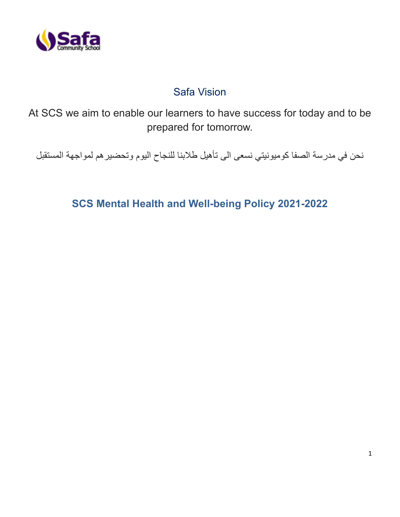

# Safa Vision

At SCS we aim to enable our learners to have success for today and to be prepared for tomorrow.

نحن في مدرسة الصفا كوميونيتي نسعى الى تأهيل طالبنا للنجاح اليوم وتحضيرهم لمواجهة المستقبل

**SCS Mental Health and Well-being Policy 2021-2022**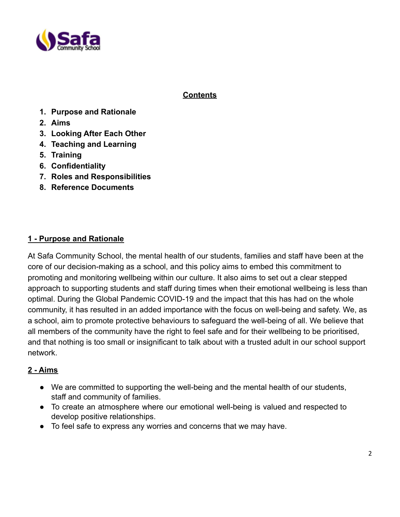

### **Contents**

- **1. Purpose and Rationale**
- **2. Aims**
- **3. Looking After Each Other**
- **4. Teaching and Learning**
- **5. Training**
- **6. Confidentiality**
- **7. Roles and Responsibilities**
- **8. Reference Documents**

#### **1 - Purpose and Rationale**

At Safa Community School, the mental health of our students, families and staff have been at the core of our decision-making as a school, and this policy aims to embed this commitment to promoting and monitoring wellbeing within our culture. It also aims to set out a clear stepped approach to supporting students and staff during times when their emotional wellbeing is less than optimal. During the Global Pandemic COVID-19 and the impact that this has had on the whole community, it has resulted in an added importance with the focus on well-being and safety. We, as a school, aim to promote protective behaviours to safeguard the well-being of all. We believe that all members of the community have the right to feel safe and for their wellbeing to be prioritised, and that nothing is too small or insignificant to talk about with a trusted adult in our school support network.

#### **2 - Aims**

- We are committed to supporting the well-being and the mental health of our students, staff and community of families.
- To create an atmosphere where our emotional well-being is valued and respected to develop positive relationships.
- To feel safe to express any worries and concerns that we may have.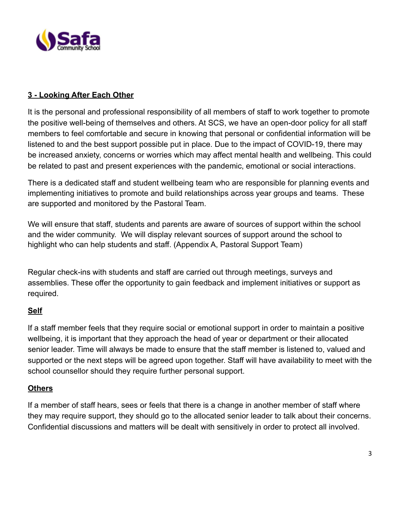

## **3 - Looking After Each Other**

It is the personal and professional responsibility of all members of staff to work together to promote the positive well-being of themselves and others. At SCS, we have an open-door policy for all staff members to feel comfortable and secure in knowing that personal or confidential information will be listened to and the best support possible put in place. Due to the impact of COVID-19, there may be increased anxiety, concerns or worries which may affect mental health and wellbeing. This could be related to past and present experiences with the pandemic, emotional or social interactions.

There is a dedicated staff and student wellbeing team who are responsible for planning events and implementing initiatives to promote and build relationships across year groups and teams. These are supported and monitored by the Pastoral Team.

We will ensure that staff, students and parents are aware of sources of support within the school and the wider community. We will display relevant sources of support around the school to highlight who can help students and staff. (Appendix A, Pastoral Support Team)

Regular check-ins with students and staff are carried out through meetings, surveys and assemblies. These offer the opportunity to gain feedback and implement initiatives or support as required.

### **Self**

If a staff member feels that they require social or emotional support in order to maintain a positive wellbeing, it is important that they approach the head of year or department or their allocated senior leader. Time will always be made to ensure that the staff member is listened to, valued and supported or the next steps will be agreed upon together. Staff will have availability to meet with the school counsellor should they require further personal support.

### **Others**

If a member of staff hears, sees or feels that there is a change in another member of staff where they may require support, they should go to the allocated senior leader to talk about their concerns. Confidential discussions and matters will be dealt with sensitively in order to protect all involved.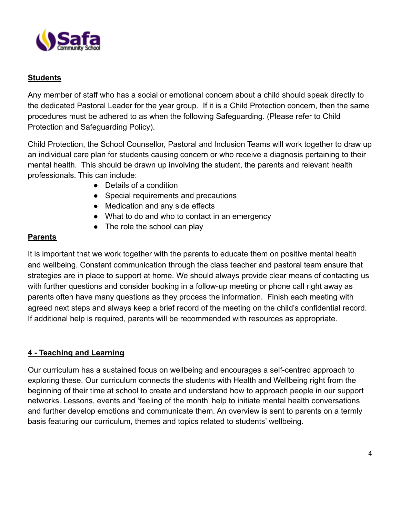

## **Students**

Any member of staff who has a social or emotional concern about a child should speak directly to the dedicated Pastoral Leader for the year group. If it is a Child Protection concern, then the same procedures must be adhered to as when the following Safeguarding. (Please refer to Child Protection and Safeguarding Policy).

Child Protection, the School Counsellor, Pastoral and Inclusion Teams will work together to draw up an individual care plan for students causing concern or who receive a diagnosis pertaining to their mental health. This should be drawn up involving the student, the parents and relevant health professionals. This can include:

- Details of a condition
- Special requirements and precautions
- Medication and any side effects
- What to do and who to contact in an emergency
- The role the school can play

## **Parents**

It is important that we work together with the parents to educate them on positive mental health and wellbeing. Constant communication through the class teacher and pastoral team ensure that strategies are in place to support at home. We should always provide clear means of contacting us with further questions and consider booking in a follow-up meeting or phone call right away as parents often have many questions as they process the information. Finish each meeting with agreed next steps and always keep a brief record of the meeting on the child's confidential record. If additional help is required, parents will be recommended with resources as appropriate.

### **4 - Teaching and Learning**

Our curriculum has a sustained focus on wellbeing and encourages a self-centred approach to exploring these. Our curriculum connects the students with Health and Wellbeing right from the beginning of their time at school to create and understand how to approach people in our support networks. Lessons, events and 'feeling of the month' help to initiate mental health conversations and further develop emotions and communicate them. An overview is sent to parents on a termly basis featuring our curriculum, themes and topics related to students' wellbeing.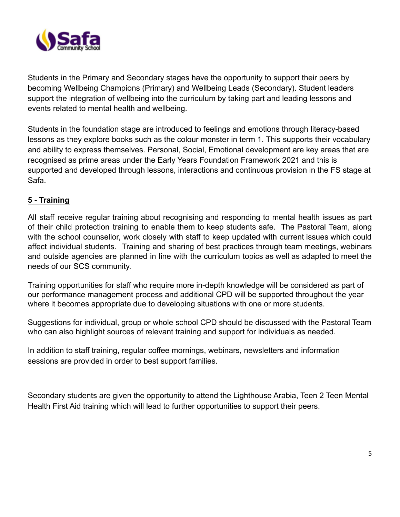

Students in the Primary and Secondary stages have the opportunity to support their peers by becoming Wellbeing Champions (Primary) and Wellbeing Leads (Secondary). Student leaders support the integration of wellbeing into the curriculum by taking part and leading lessons and events related to mental health and wellbeing.

Students in the foundation stage are introduced to feelings and emotions through literacy-based lessons as they explore books such as the colour monster in term 1. This supports their vocabulary and ability to express themselves. Personal, Social, Emotional development are key areas that are recognised as prime areas under the Early Years Foundation Framework 2021 and this is supported and developed through lessons, interactions and continuous provision in the FS stage at Safa.

### **5 - Training**

All staff receive regular training about recognising and responding to mental health issues as part of their child protection training to enable them to keep students safe. The Pastoral Team, along with the school counsellor, work closely with staff to keep updated with current issues which could affect individual students. Training and sharing of best practices through team meetings, webinars and outside agencies are planned in line with the curriculum topics as well as adapted to meet the needs of our SCS community.

Training opportunities for staff who require more in-depth knowledge will be considered as part of our performance management process and additional CPD will be supported throughout the year where it becomes appropriate due to developing situations with one or more students.

Suggestions for individual, group or whole school CPD should be discussed with the Pastoral Team who can also highlight sources of relevant training and support for individuals as needed.

In addition to staff training, regular coffee mornings, webinars, newsletters and information sessions are provided in order to best support families.

Secondary students are given the opportunity to attend the Lighthouse Arabia, Teen 2 Teen Mental Health First Aid training which will lead to further opportunities to support their peers.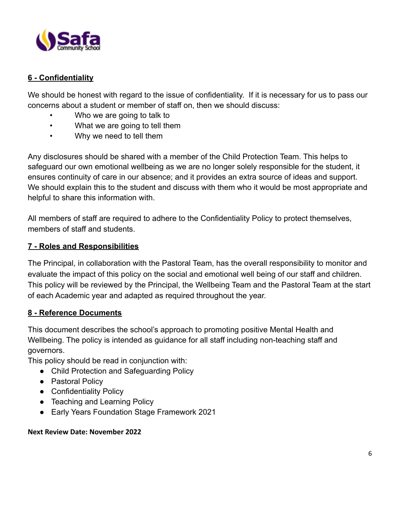

## **6 - Confidentiality**

We should be honest with regard to the issue of confidentiality. If it is necessary for us to pass our concerns about a student or member of staff on, then we should discuss:

- Who we are going to talk to
- What we are going to tell them
- Why we need to tell them

Any disclosures should be shared with a member of the Child Protection Team. This helps to safeguard our own emotional wellbeing as we are no longer solely responsible for the student, it ensures continuity of care in our absence; and it provides an extra source of ideas and support. We should explain this to the student and discuss with them who it would be most appropriate and helpful to share this information with.

All members of staff are required to adhere to the Confidentiality Policy to protect themselves, members of staff and students.

#### **7 - Roles and Responsibilities**

The Principal, in collaboration with the Pastoral Team, has the overall responsibility to monitor and evaluate the impact of this policy on the social and emotional well being of our staff and children. This policy will be reviewed by the Principal, the Wellbeing Team and the Pastoral Team at the start of each Academic year and adapted as required throughout the year.

#### **8 - Reference Documents**

This document describes the school's approach to promoting positive Mental Health and Wellbeing. The policy is intended as guidance for all staff including non-teaching staff and governors.

This policy should be read in conjunction with:

- Child Protection and Safeguarding Policy
- Pastoral Policy
- Confidentiality Policy
- Teaching and Learning Policy
- Early Years Foundation Stage Framework 2021

#### **Next Review Date: November 2022**